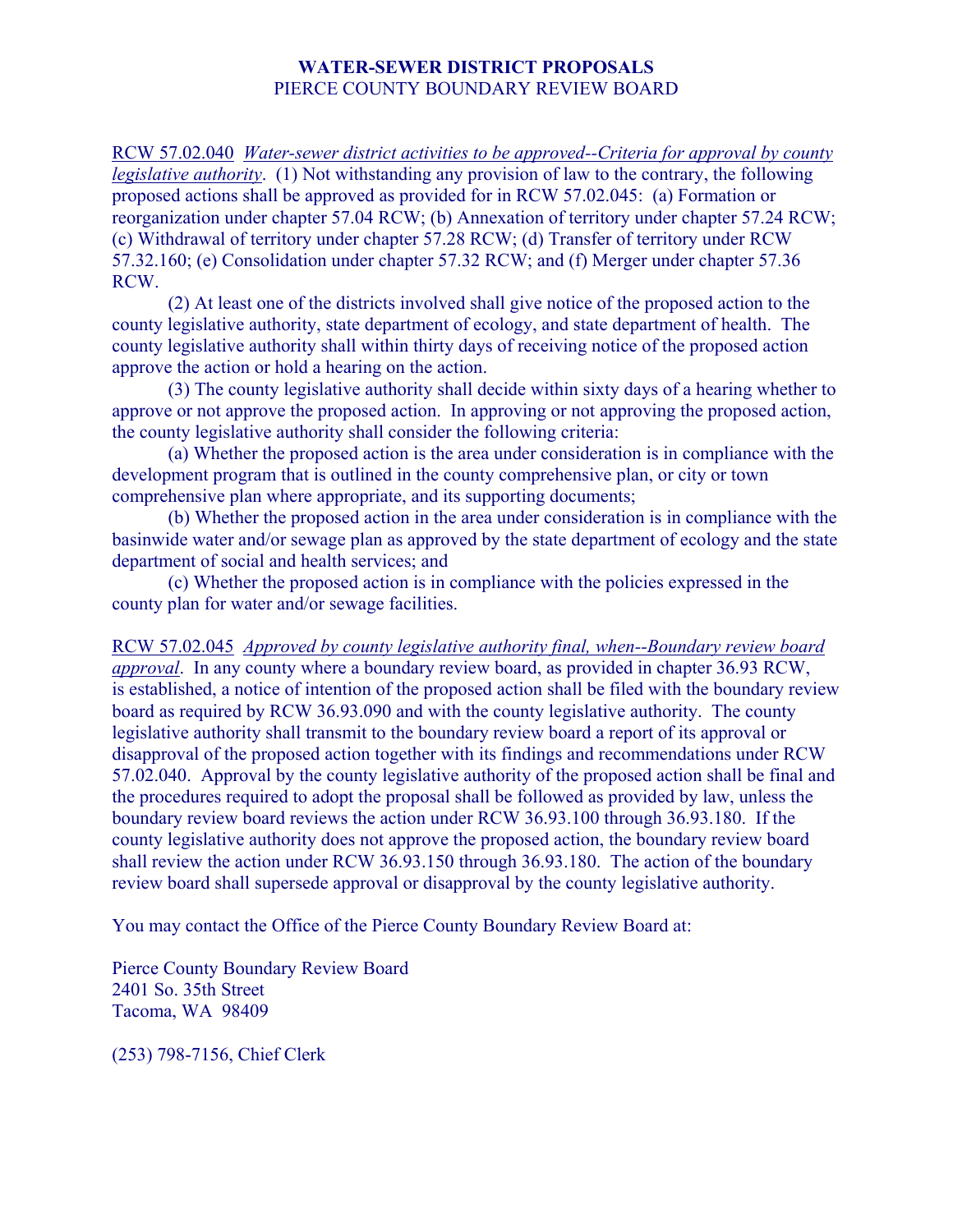## **WATER-SEWER DISTRICT PROPOSALS**  PIERCE COUNTY BOUNDARY REVIEW BOARD

RCW 57.02.040 *Water-sewer district activities to be approved--Criteria for approval by county legislative authority*. (1) Not withstanding any provision of law to the contrary, the following proposed actions shall be approved as provided for in RCW 57.02.045: (a) Formation or reorganization under chapter 57.04 RCW; (b) Annexation of territory under chapter 57.24 RCW; (c) Withdrawal of territory under chapter 57.28 RCW; (d) Transfer of territory under RCW 57.32.160; (e) Consolidation under chapter 57.32 RCW; and (f) Merger under chapter 57.36 RCW.

 (2) At least one of the districts involved shall give notice of the proposed action to the county legislative authority, state department of ecology, and state department of health. The county legislative authority shall within thirty days of receiving notice of the proposed action approve the action or hold a hearing on the action.

 (3) The county legislative authority shall decide within sixty days of a hearing whether to approve or not approve the proposed action. In approving or not approving the proposed action, the county legislative authority shall consider the following criteria:

 (a) Whether the proposed action is the area under consideration is in compliance with the development program that is outlined in the county comprehensive plan, or city or town comprehensive plan where appropriate, and its supporting documents;

 (b) Whether the proposed action in the area under consideration is in compliance with the basinwide water and/or sewage plan as approved by the state department of ecology and the state department of social and health services; and

 (c) Whether the proposed action is in compliance with the policies expressed in the county plan for water and/or sewage facilities.

RCW 57.02.045 *Approved by county legislative authority final, when--Boundary review board approval*. In any county where a boundary review board, as provided in chapter 36.93 RCW, is established, a notice of intention of the proposed action shall be filed with the boundary review board as required by RCW 36.93.090 and with the county legislative authority. The county legislative authority shall transmit to the boundary review board a report of its approval or disapproval of the proposed action together with its findings and recommendations under RCW 57.02.040. Approval by the county legislative authority of the proposed action shall be final and the procedures required to adopt the proposal shall be followed as provided by law, unless the boundary review board reviews the action under RCW 36.93.100 through 36.93.180. If the county legislative authority does not approve the proposed action, the boundary review board shall review the action under RCW 36.93.150 through 36.93.180. The action of the boundary review board shall supersede approval or disapproval by the county legislative authority.

You may contact the Office of the Pierce County Boundary Review Board at:

Pierce County Boundary Review Board 2401 So. 35th Street Tacoma, WA 98409

(253) 798-7156, Chief Clerk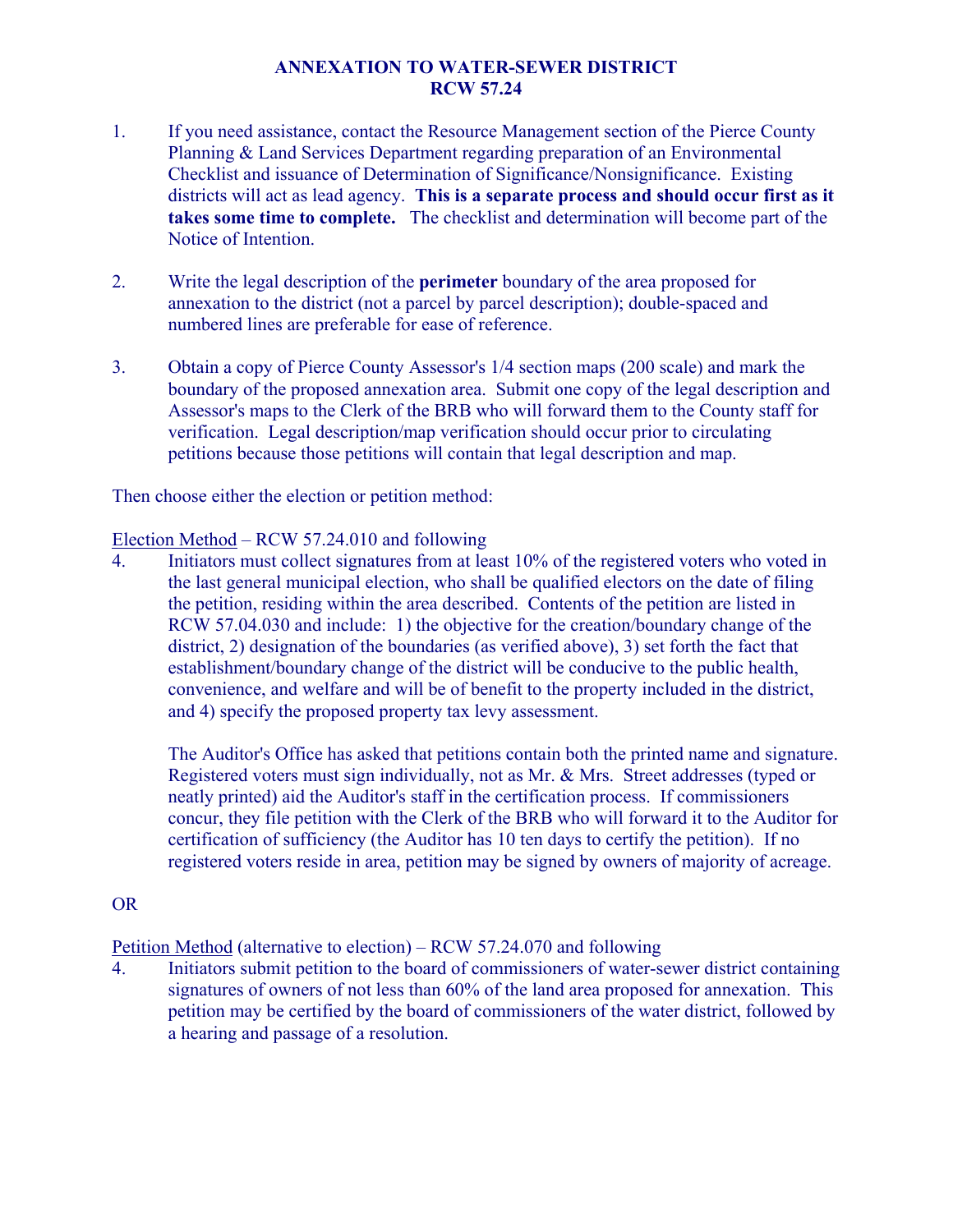## **ANNEXATION TO WATER-SEWER DISTRICT RCW 57.24**

- 1. If you need assistance, contact the Resource Management section of the Pierce County Planning & Land Services Department regarding preparation of an Environmental Checklist and issuance of Determination of Significance/Nonsignificance. Existing districts will act as lead agency. **This is a separate process and should occur first as it takes some time to complete.** The checklist and determination will become part of the Notice of Intention.
- 2. Write the legal description of the **perimeter** boundary of the area proposed for annexation to the district (not a parcel by parcel description); double-spaced and numbered lines are preferable for ease of reference.
- 3. Obtain a copy of Pierce County Assessor's 1/4 section maps (200 scale) and mark the boundary of the proposed annexation area. Submit one copy of the legal description and Assessor's maps to the Clerk of the BRB who will forward them to the County staff for verification. Legal description/map verification should occur prior to circulating petitions because those petitions will contain that legal description and map.

Then choose either the election or petition method:

## Election Method – RCW 57.24.010 and following

4. Initiators must collect signatures from at least 10% of the registered voters who voted in the last general municipal election, who shall be qualified electors on the date of filing the petition, residing within the area described. Contents of the petition are listed in RCW 57.04.030 and include: 1) the objective for the creation/boundary change of the district, 2) designation of the boundaries (as verified above), 3) set forth the fact that establishment/boundary change of the district will be conducive to the public health, convenience, and welfare and will be of benefit to the property included in the district, and 4) specify the proposed property tax levy assessment.

The Auditor's Office has asked that petitions contain both the printed name and signature. Registered voters must sign individually, not as Mr. & Mrs. Street addresses (typed or neatly printed) aid the Auditor's staff in the certification process. If commissioners concur, they file petition with the Clerk of the BRB who will forward it to the Auditor for certification of sufficiency (the Auditor has 10 ten days to certify the petition). If no registered voters reside in area, petition may be signed by owners of majority of acreage.

## OR

Petition Method (alternative to election) – RCW 57.24.070 and following

4. Initiators submit petition to the board of commissioners of water-sewer district containing signatures of owners of not less than 60% of the land area proposed for annexation. This petition may be certified by the board of commissioners of the water district, followed by a hearing and passage of a resolution.